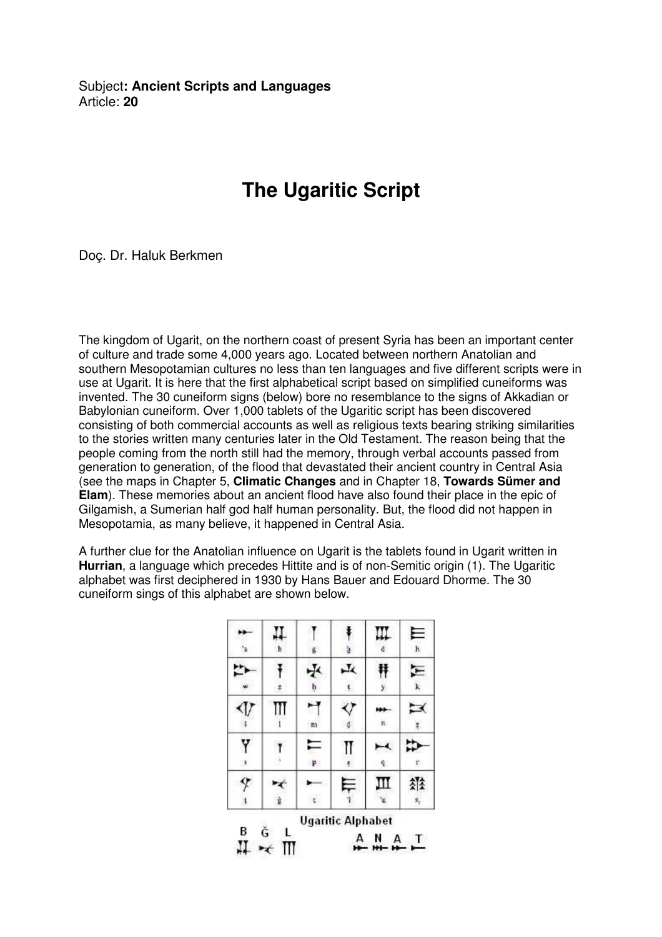Subject**: Ancient Scripts and Languages**  Article: **20**

## **The Ugaritic Script**

Doç. Dr. Haluk Berkmen

The kingdom of Ugarit, on the northern coast of present Syria has been an important center of culture and trade some 4,000 years ago. Located between northern Anatolian and southern Mesopotamian cultures no less than ten languages and five different scripts were in use at Ugarit. It is here that the first alphabetical script based on simplified cuneiforms was invented. The 30 cuneiform signs (below) bore no resemblance to the signs of Akkadian or Babylonian cuneiform. Over 1,000 tablets of the Ugaritic script has been discovered consisting of both commercial accounts as well as religious texts bearing striking similarities to the stories written many centuries later in the Old Testament. The reason being that the people coming from the north still had the memory, through verbal accounts passed from generation to generation, of the flood that devastated their ancient country in Central Asia (see the maps in Chapter 5, **Climatic Changes** and in Chapter 18, **Towards Sümer and Elam**). These memories about an ancient flood have also found their place in the epic of Gilgamish, a Sumerian half god half human personality. But, the flood did not happen in Mesopotamia, as many believe, it happened in Central Asia.

A further clue for the Anatolian influence on Ugarit is the tablets found in Ugarit written in **Hurrian**, a language which precedes Hittite and is of non-Semitic origin (1). The Ugaritic alphabet was first deciphered in 1930 by Hans Bauer and Edouard Dhorme. The 30 cuneiform sings of this alphabet are shown below.

|     | ъ      | g.           | b                        | Ш       | Е<br>k    |
|-----|--------|--------------|--------------------------|---------|-----------|
|     |        | ∗Į≺<br>h     | 山                        | у.      | k         |
| KI) |        | $\mathbf{m}$ |                          | n       | $\preceq$ |
| Y   |        | F<br>P       | Π<br>Ķ.                  | q.      | ť.        |
|     | ġ      |              | ⋿                        | Ш<br>'n | 소소<br>s,  |
| B   | Ğ<br>L |              | <b>Ugaritic Alphabet</b> | A       |           |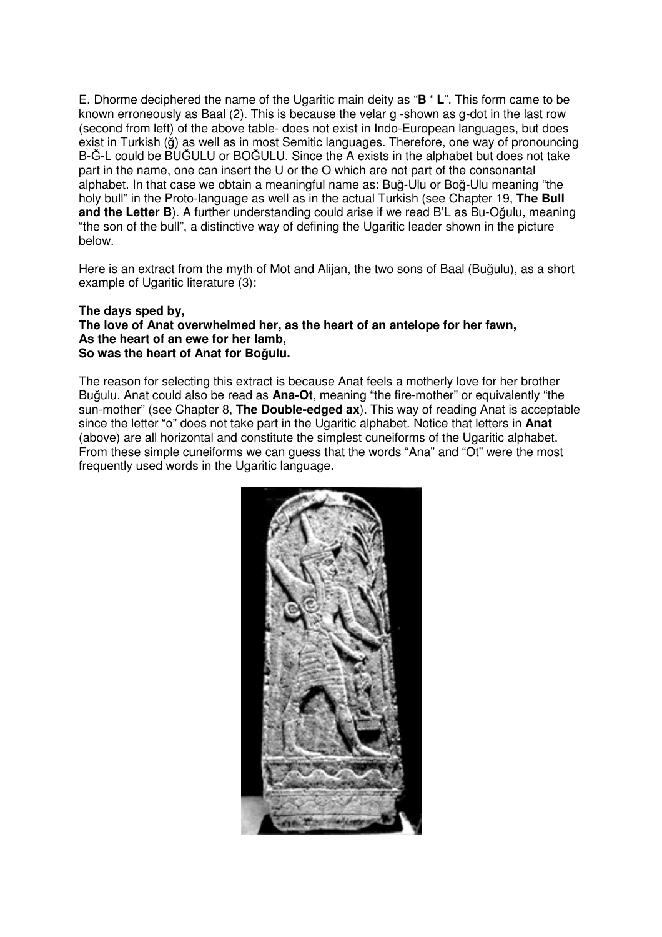E. Dhorme deciphered the name of the Ugaritic main deity as "**B ' L**". This form came to be known erroneously as Baal (2). This is because the velar g -shown as g-dot in the last row (second from left) of the above table- does not exist in Indo-European languages, but does exist in Turkish (ğ) as well as in most Semitic languages. Therefore, one way of pronouncing B-Ğ-L could be BUĞULU or BOĞULU. Since the A exists in the alphabet but does not take part in the name, one can insert the U or the O which are not part of the consonantal alphabet. In that case we obtain a meaningful name as: Buğ-Ulu or Boğ-Ulu meaning "the holy bull" in the Proto-language as well as in the actual Turkish (see Chapter 19, **The Bull and the Letter B**). A further understanding could arise if we read B'L as Bu-Oğulu, meaning "the son of the bull", a distinctive way of defining the Ugaritic leader shown in the picture below.

Here is an extract from the myth of Mot and Alijan, the two sons of Baal (Buğulu), as a short example of Ugaritic literature (3):

## **The days sped by, The love of Anat overwhelmed her, as the heart of an antelope for her fawn, As the heart of an ewe for her lamb, So was the heart of Anat for Bo**ğ**ulu.**

The reason for selecting this extract is because Anat feels a motherly love for her brother Buğulu. Anat could also be read as **Ana-Ot**, meaning "the fire-mother" or equivalently "the sun-mother" (see Chapter 8, **The Double-edged ax**). This way of reading Anat is acceptable since the letter "o" does not take part in the Ugaritic alphabet. Notice that letters in **Anat** (above) are all horizontal and constitute the simplest cuneiforms of the Ugaritic alphabet. From these simple cuneiforms we can guess that the words "Ana" and "Ot" were the most frequently used words in the Ugaritic language.